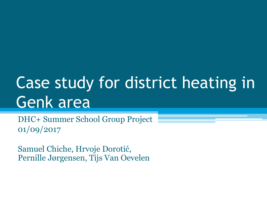# Case study for district heating in Genk area

DHC+ Summer School Group Project 01/09/2017

Samuel Chiche, Hrvoje Dorotić, Pernille Jørgensen, Tijs Van Oevelen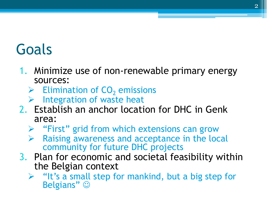#### Goals

- 1. Minimize use of non-renewable primary energy sources:
	- $\triangleright$  Elimination of CO<sub>2</sub> emissions
	- ➢ Integration of waste heat
- 2. Establish an anchor location for DHC in Genk area:
	- ➢ "First" grid from which extensions can grow
	- Raising awareness and acceptance in the local community for future DHC projects
- 3. Plan for economic and societal feasibility within the Belgian context
	- $\triangleright$  "It's a small step for mankind, but a big step for Belgians"  $\odot$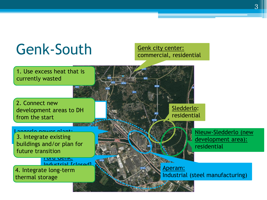

#### 3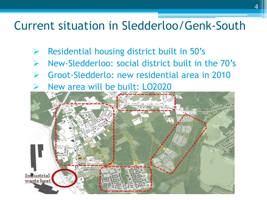#### Current situation in Sledderloo/Genk-South

- Residential housing district built in 50's
- ➢ New-Sledderloo: social district built in the 70's
- ➢ Groot-Sledderlo: new residential area in 2010
- ➢ New area will be built: LO2020

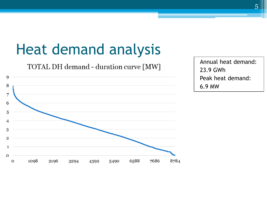## Heat demand analysis

TOTAL DH demand - duration curve [MW]



Annual heat demand: 23.9 GWh Peak heat demand: 6.9 MW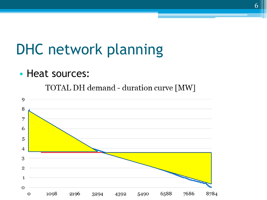#### DHC network planning

• Heat sources:

TOTAL DH demand - duration curve [MW]

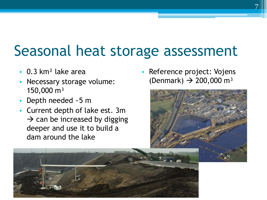#### Seasonal heat storage assessment

- 0.3 km² lake area
- Necessary storage volume: 150,000 m³
- Depth needed ~5 m
- Current depth of lake est. 3m  $\rightarrow$  can be increased by digging deeper and use it to build a dam around the lake

Reference project: Vojens (Denmark)  $\rightarrow$  200,000 m<sup>3</sup>

7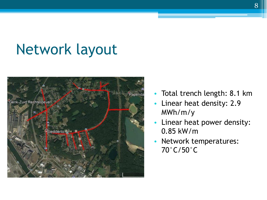#### Network layout



- Total trench length: 8.1 km
- Linear heat density: 2.9 MWh/m/y
- Linear heat power density: 0.85 kW/m
- Network temperatures: 70°C/50°C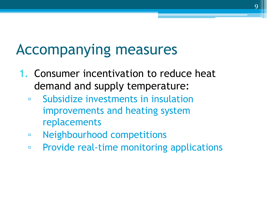#### Accompanying measures

- 1. Consumer incentivation to reduce heat demand and supply temperature:
	- Subsidize investments in insulation improvements and heating system replacements
	- Neighbourhood competitions
	- Provide real-time monitoring applications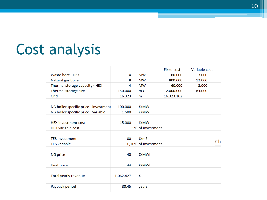## Cost analysis

|                                       |           |                     | <b>Fixed cost</b> | Variable cost |    |
|---------------------------------------|-----------|---------------------|-------------------|---------------|----|
| Waste heat - HEX                      | 4         | <b>MW</b>           | 60.000            | 3.000         |    |
| Natural gas boiler                    | 8         | <b>MW</b>           | 800.000           | 12.000        |    |
| Thermal storage capacity - HEX        | 4         | <b>MW</b>           | 60.000            | 3.000         |    |
| Thermal storage size                  | 150,000   | m <sub>3</sub>      | 12.000.000        | 84.000        |    |
| Grid                                  | 16.323    | m                   | 16.323.102        |               |    |
| NG boiler specific price - investment | 100,000   | €/MW                |                   |               |    |
| NG boiler specific price - variable   | 1.500     | €/MW                |                   |               |    |
| <b>HEX</b> investment cost            | 15.000    | €/MW                |                   |               |    |
| <b>HEX</b> variable cost              |           | 5% of investment    |                   |               |    |
| <b>TES investment</b>                 | 80        | €/m3                |                   |               |    |
| <b>TES</b> variable                   |           | 0,70% of investment |                   |               | Ch |
| <b>NG price</b>                       | 40        | €/MWh               |                   |               |    |
| <b>Heat price</b>                     | 44        | €/MWh               |                   |               |    |
| Total yearly revenue                  | 1.062.427 | €                   |                   |               |    |
| Payback period                        | 30,45     | years               |                   |               |    |
|                                       |           |                     |                   |               |    |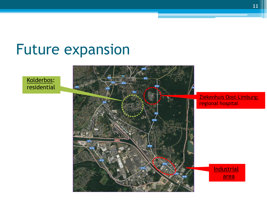#### Future expansion